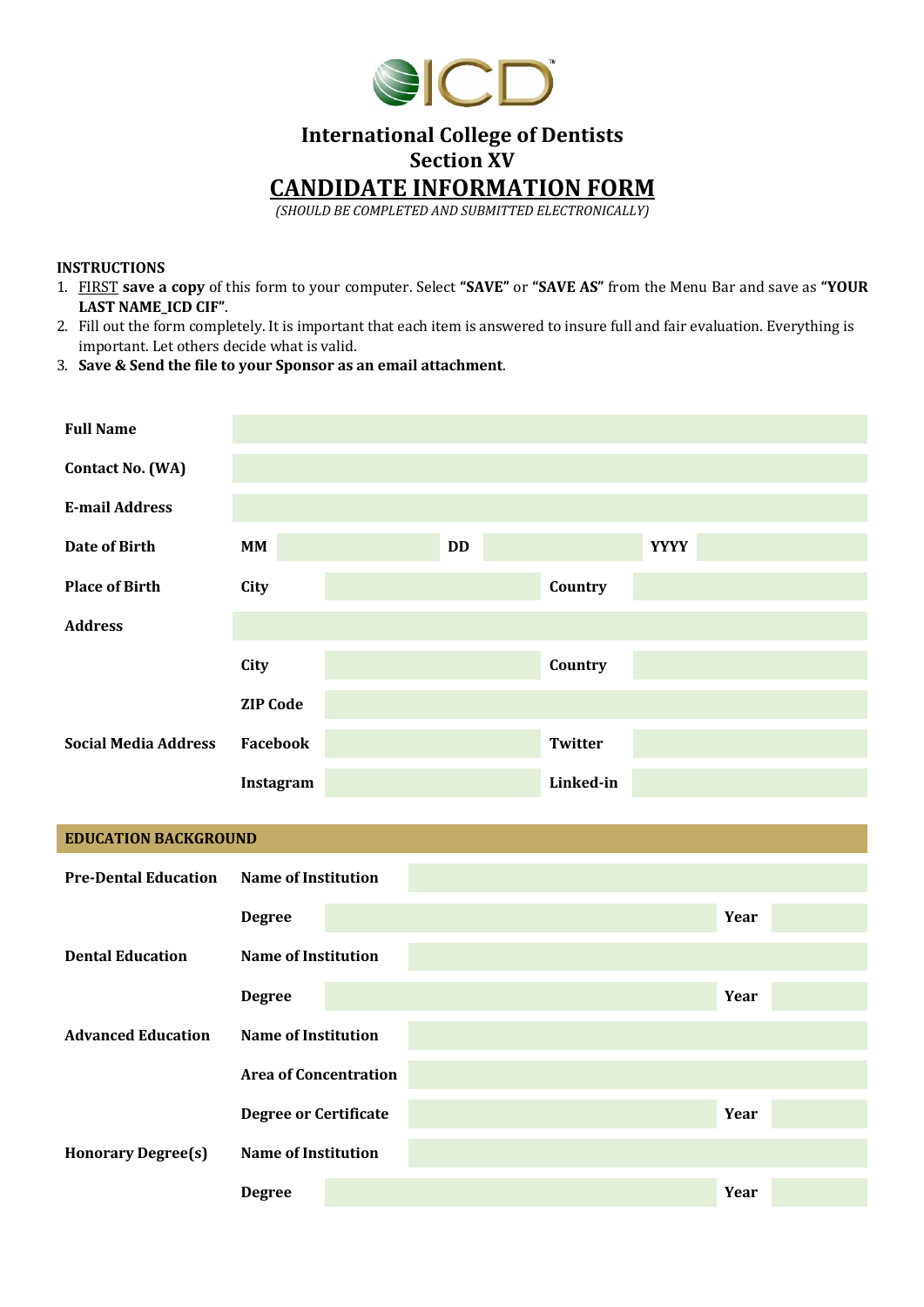

# **International College of Dentists Section XV**

**CANDIDATE INFORMATION FORM**

*(SHOULD BE COMPLETED AND SUBMITTED ELECTRONICALLY)*

#### **INSTRUCTIONS**

- 1. FIRST **save a copy** of this form to your computer. Select **"SAVE"** or **"SAVE AS"** from the Menu Bar and save as **"YOUR LAST NAME\_ICD CIF"**.
- 2. Fill out the form completely. It is important that each item is answered to insure full and fair evaluation. Everything is important. Let others decide what is valid.
- 3. **Save & Send the file to your Sponsor as an email attachment**.

| <b>Full Name</b>            |                              |  |           |                |             |      |  |
|-----------------------------|------------------------------|--|-----------|----------------|-------------|------|--|
| <b>Contact No. (WA)</b>     |                              |  |           |                |             |      |  |
| <b>E-mail Address</b>       |                              |  |           |                |             |      |  |
| <b>Date of Birth</b>        | MM                           |  | <b>DD</b> |                | <b>YYYY</b> |      |  |
| <b>Place of Birth</b>       | City                         |  |           | Country        |             |      |  |
| <b>Address</b>              |                              |  |           |                |             |      |  |
|                             | <b>City</b>                  |  |           | Country        |             |      |  |
|                             | <b>ZIP Code</b>              |  |           |                |             |      |  |
| <b>Social Media Address</b> | Facebook                     |  |           | <b>Twitter</b> |             |      |  |
|                             | Instagram                    |  |           | Linked-in      |             |      |  |
|                             |                              |  |           |                |             |      |  |
| <b>EDUCATION BACKGROUND</b> |                              |  |           |                |             |      |  |
| <b>Pre-Dental Education</b> | <b>Name of Institution</b>   |  |           |                |             |      |  |
|                             | <b>Degree</b>                |  |           |                |             | Year |  |
| <b>Dental Education</b>     | <b>Name of Institution</b>   |  |           |                |             |      |  |
|                             | <b>Degree</b>                |  |           |                |             | Year |  |
| <b>Advanced Education</b>   | <b>Name of Institution</b>   |  |           |                |             |      |  |
|                             | <b>Area of Concentration</b> |  |           |                |             |      |  |
|                             | <b>Degree or Certificate</b> |  |           |                |             | Year |  |
| <b>Honorary Degree(s)</b>   | <b>Name of Institution</b>   |  |           |                |             |      |  |
|                             |                              |  |           |                |             |      |  |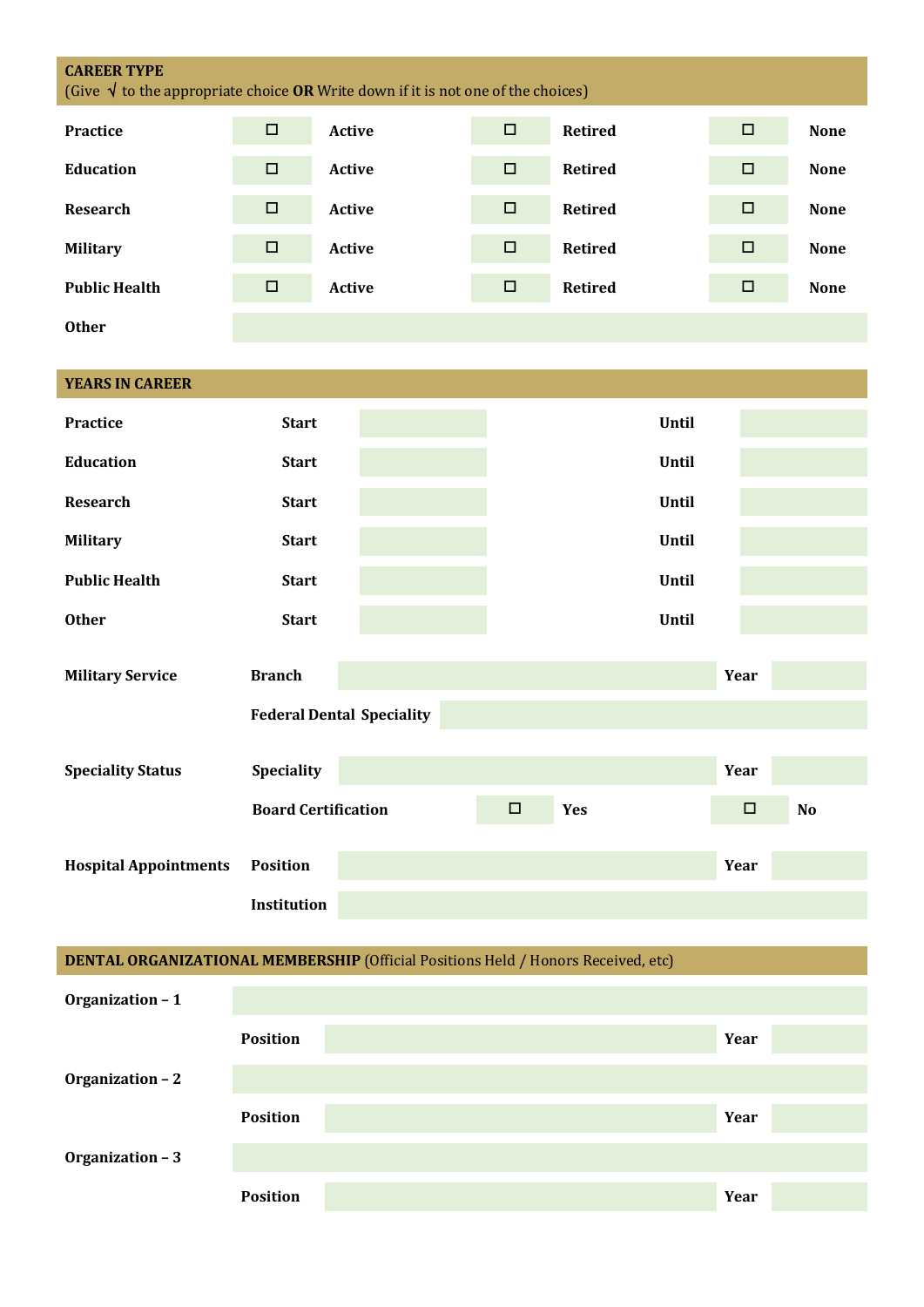| <b>CAREER TYPE</b><br>(Give $\sqrt{ }$ to the appropriate choice <b>OR</b> Write down if it is not one of the choices) |                            |                                  |        |                |              |        |             |
|------------------------------------------------------------------------------------------------------------------------|----------------------------|----------------------------------|--------|----------------|--------------|--------|-------------|
| <b>Practice</b>                                                                                                        | $\Box$                     | <b>Active</b>                    | $\Box$ | <b>Retired</b> |              | $\Box$ | <b>None</b> |
| <b>Education</b>                                                                                                       | $\Box$                     | <b>Active</b>                    | $\Box$ | <b>Retired</b> |              | $\Box$ | <b>None</b> |
| <b>Research</b>                                                                                                        | $\Box$                     | Active                           | $\Box$ | <b>Retired</b> |              | $\Box$ | <b>None</b> |
| <b>Military</b>                                                                                                        | $\Box$                     | Active                           | $\Box$ | <b>Retired</b> |              | $\Box$ | <b>None</b> |
| <b>Public Health</b>                                                                                                   | $\Box$                     | Active                           | $\Box$ | <b>Retired</b> |              | $\Box$ | <b>None</b> |
| <b>Other</b>                                                                                                           |                            |                                  |        |                |              |        |             |
|                                                                                                                        |                            |                                  |        |                |              |        |             |
| <b>YEARS IN CAREER</b>                                                                                                 |                            |                                  |        |                |              |        |             |
| <b>Practice</b>                                                                                                        | <b>Start</b>               |                                  |        |                | Until        |        |             |
| <b>Education</b>                                                                                                       | <b>Start</b>               |                                  |        |                | <b>Until</b> |        |             |
| <b>Research</b>                                                                                                        | <b>Start</b>               |                                  |        |                | Until        |        |             |
| <b>Military</b>                                                                                                        | <b>Start</b>               |                                  |        |                | <b>Until</b> |        |             |
| <b>Public Health</b>                                                                                                   | <b>Start</b>               |                                  |        |                | Until        |        |             |
| <b>Other</b>                                                                                                           | <b>Start</b>               |                                  |        |                | <b>Until</b> |        |             |
|                                                                                                                        |                            |                                  |        |                |              |        |             |
| <b>Military Service</b>                                                                                                | <b>Branch</b>              |                                  |        |                |              | Year   |             |
|                                                                                                                        |                            | <b>Federal Dental Speciality</b> |        |                |              |        |             |
| <b>Speciality Status</b>                                                                                               | Speciality                 |                                  |        |                |              | Year   |             |
|                                                                                                                        | <b>Board Certification</b> |                                  | $\Box$ | Yes            |              | $\Box$ | No          |
|                                                                                                                        |                            |                                  |        |                |              |        |             |
| <b>Hospital Appointments</b>                                                                                           | <b>Position</b>            |                                  |        |                |              | Year   |             |
|                                                                                                                        | Institution                |                                  |        |                |              |        |             |
| DENTAL ORGANIZATIONAL MEMBERSHIP (Official Positions Held / Honors Received, etc)                                      |                            |                                  |        |                |              |        |             |
| Organization - 1                                                                                                       |                            |                                  |        |                |              |        |             |
|                                                                                                                        | <b>Position</b>            |                                  |        |                |              | Year   |             |
| Organization - 2                                                                                                       |                            |                                  |        |                |              |        |             |

**Organization – 3**

**Position Year** 

**Position Year**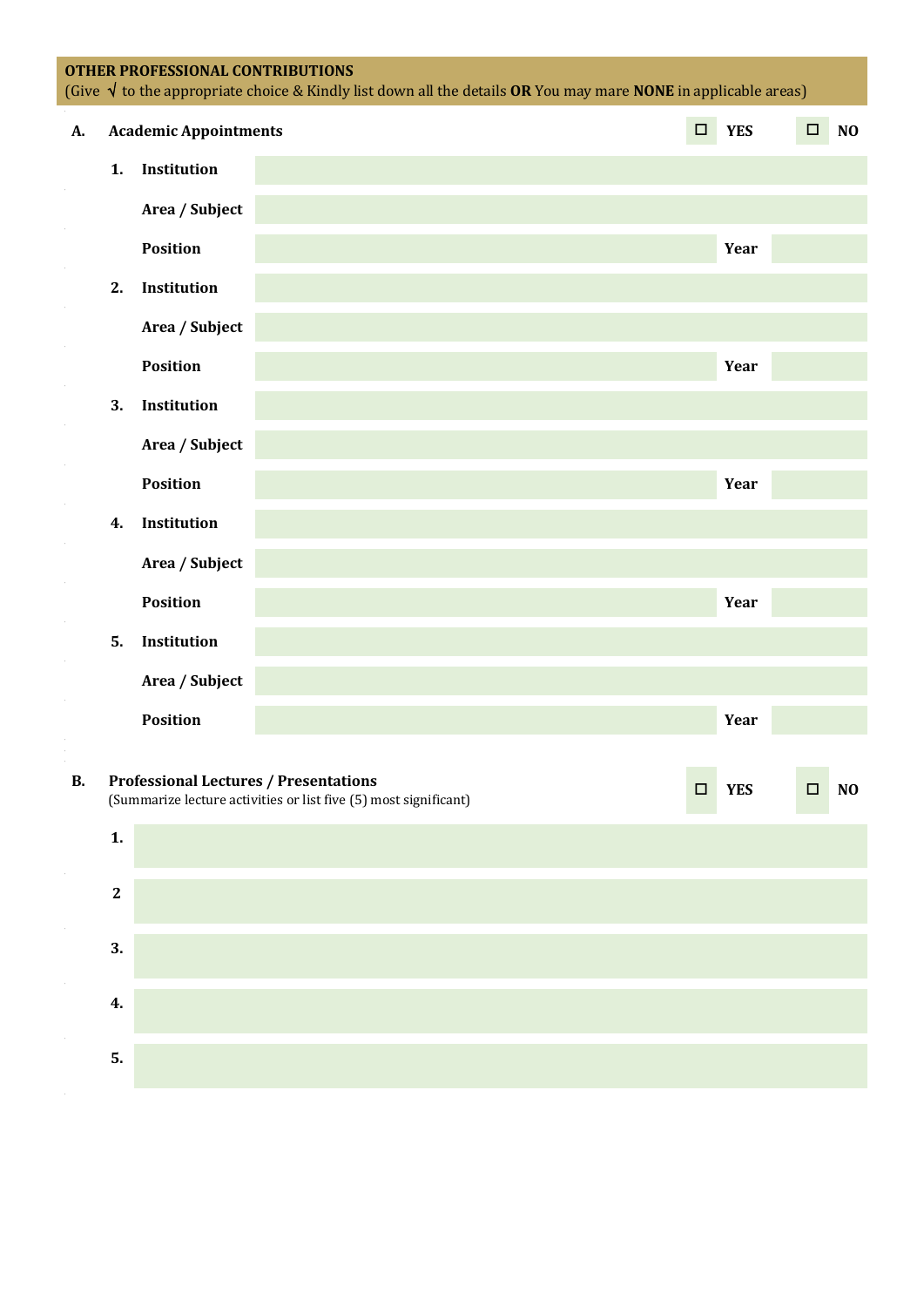### **OTHER PROFESSIONAL CONTRIBUTIONS**

| <u>UTHER FRUI ESSIUNAL CUN FRIDU FIUNS</u><br>(Give $\sqrt{ }$ to the appropriate choice & Kindly list down all the details OR You may mare NONE in applicable areas) |    |                              |            |        |                |  |
|-----------------------------------------------------------------------------------------------------------------------------------------------------------------------|----|------------------------------|------------|--------|----------------|--|
| A.                                                                                                                                                                    |    | <b>Academic Appointments</b> | <b>YES</b> | $\Box$ | N <sub>O</sub> |  |
|                                                                                                                                                                       | 1. | Institution                  |            |        |                |  |
|                                                                                                                                                                       |    | Area / Subject               |            |        |                |  |
|                                                                                                                                                                       |    | <b>Position</b>              |            | Year   |                |  |
|                                                                                                                                                                       | 2. | Institution                  |            |        |                |  |
|                                                                                                                                                                       |    | Area / Subject               |            |        |                |  |
|                                                                                                                                                                       |    | <b>Position</b>              |            | Year   |                |  |
|                                                                                                                                                                       | 3. | Institution                  |            |        |                |  |
|                                                                                                                                                                       |    | Area / Subject               |            |        |                |  |
|                                                                                                                                                                       |    | <b>Position</b>              |            | Year   |                |  |
|                                                                                                                                                                       | 4. | Institution                  |            |        |                |  |
|                                                                                                                                                                       |    | Area / Subject               |            |        |                |  |
|                                                                                                                                                                       |    | <b>Position</b>              |            | Year   |                |  |
|                                                                                                                                                                       | 5. | Institution                  |            |        |                |  |
|                                                                                                                                                                       |    | Area / Subject               |            |        |                |  |
|                                                                                                                                                                       |    | <b>Position</b>              |            | Year   |                |  |

## **B. Professional Lectures / Presentations Protessional Lectures / Presentations**<br>
(Summarize lecture activities or list five (5) most significant) **O YES** O **NO 1.**

| $\mathbf{2}$ |  |
|--------------|--|
| 3.           |  |
| 4.           |  |
| 5.           |  |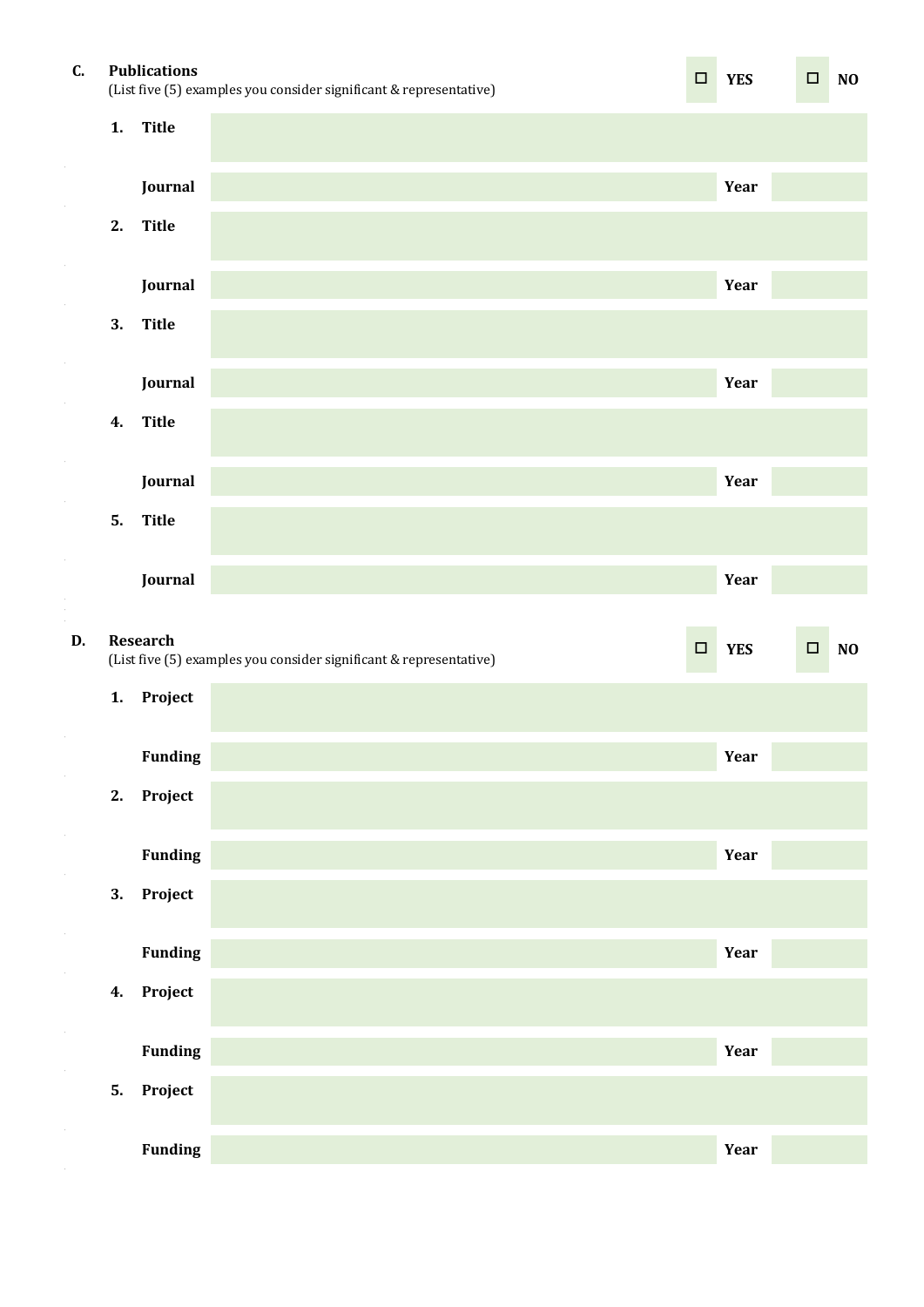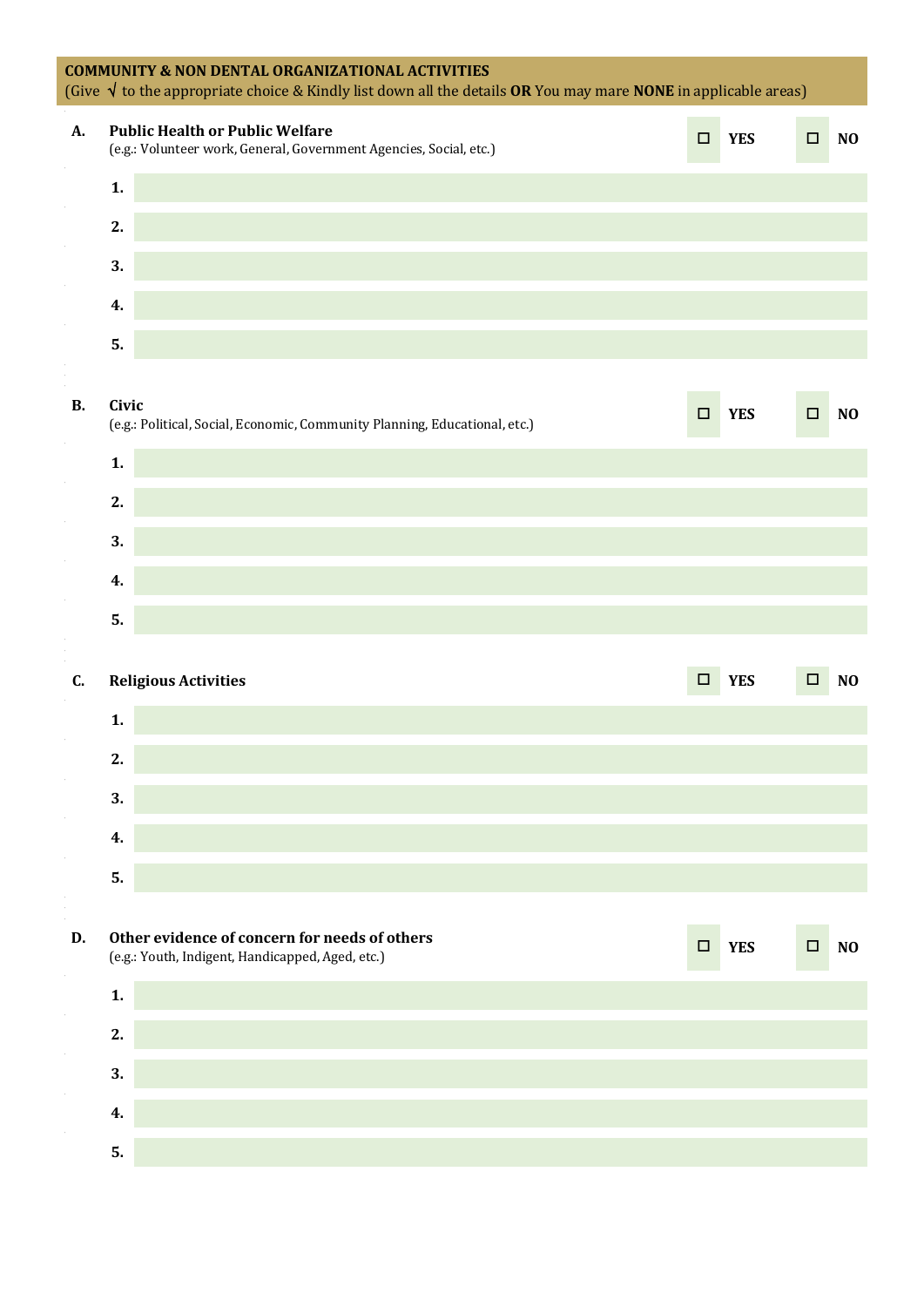| <b>COMMUNITY &amp; NON DENTAL ORGANIZATIONAL ACTIVITIES</b><br>(Give $\sqrt{ }$ to the appropriate choice & Kindly list down all the details OR You may mare NONE in applicable areas) |                |                                                                                                              |        |            |        |                |
|----------------------------------------------------------------------------------------------------------------------------------------------------------------------------------------|----------------|--------------------------------------------------------------------------------------------------------------|--------|------------|--------|----------------|
| <b>A.</b>                                                                                                                                                                              |                | <b>Public Health or Public Welfare</b><br>(e.g.: Volunteer work, General, Government Agencies, Social, etc.) | $\Box$ | <b>YES</b> | $\Box$ | N <sub>O</sub> |
|                                                                                                                                                                                        | $\mathbf{1}$ . |                                                                                                              |        |            |        |                |
|                                                                                                                                                                                        | 2.             |                                                                                                              |        |            |        |                |
|                                                                                                                                                                                        | 3.             |                                                                                                              |        |            |        |                |
|                                                                                                                                                                                        | 4.             |                                                                                                              |        |            |        |                |
|                                                                                                                                                                                        | 5.             |                                                                                                              |        |            |        |                |
| <b>B.</b>                                                                                                                                                                              | Civic          | (e.g.: Political, Social, Economic, Community Planning, Educational, etc.)                                   | $\Box$ | <b>YES</b> | □      | N <sub>O</sub> |
|                                                                                                                                                                                        | $\mathbf{1}$ . |                                                                                                              |        |            |        |                |
|                                                                                                                                                                                        | 2.             |                                                                                                              |        |            |        |                |
|                                                                                                                                                                                        | 3.             |                                                                                                              |        |            |        |                |
|                                                                                                                                                                                        | 4.             |                                                                                                              |        |            |        |                |
|                                                                                                                                                                                        | 5.             |                                                                                                              |        |            |        |                |
| C.                                                                                                                                                                                     |                | <b>Religious Activities</b>                                                                                  | $\Box$ | <b>YES</b> | $\Box$ | N <sub>O</sub> |
|                                                                                                                                                                                        | 1.             |                                                                                                              |        |            |        |                |
|                                                                                                                                                                                        | 2.             |                                                                                                              |        |            |        |                |
|                                                                                                                                                                                        | 3.             |                                                                                                              |        |            |        |                |
|                                                                                                                                                                                        | 4.             |                                                                                                              |        |            |        |                |
|                                                                                                                                                                                        | 5.             |                                                                                                              |        |            |        |                |
| D.                                                                                                                                                                                     |                | Other evidence of concern for needs of others<br>(e.g.: Youth, Indigent, Handicapped, Aged, etc.)            | $\Box$ | <b>YES</b> | $\Box$ | N <sub>O</sub> |
|                                                                                                                                                                                        | $\mathbf{1}$ . |                                                                                                              |        |            |        |                |
|                                                                                                                                                                                        | 2.             |                                                                                                              |        |            |        |                |
|                                                                                                                                                                                        | 3.             |                                                                                                              |        |            |        |                |
|                                                                                                                                                                                        | 4.             |                                                                                                              |        |            |        |                |
|                                                                                                                                                                                        | 5.             |                                                                                                              |        |            |        |                |